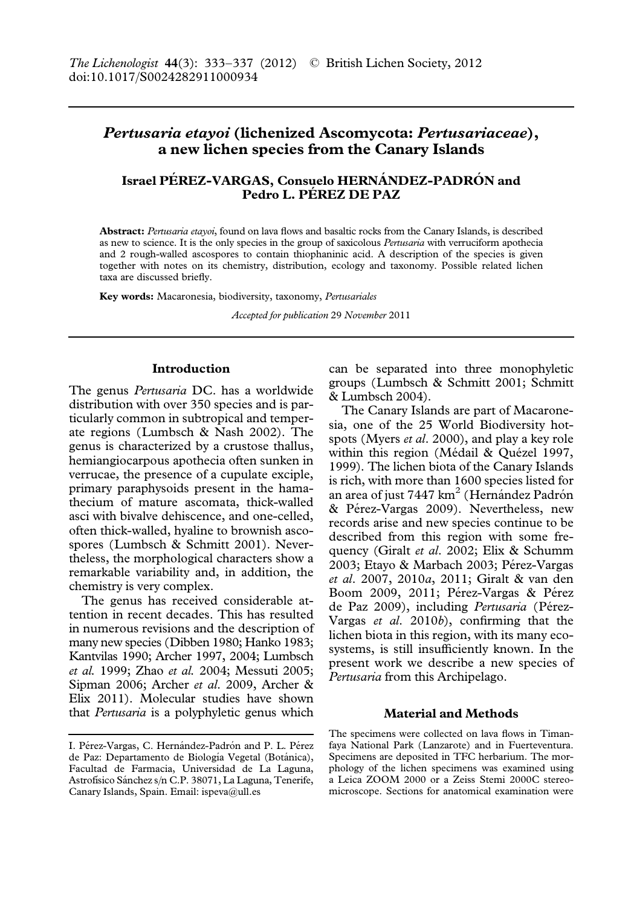# Pertusaria etayoi (lichenized Ascomycota: Pertusariaceae), a new lichen species from the Canary Islands

## Israel PÉREZ-VARGAS, Consuelo HERNÁNDEZ-PADRÓN and Pedro L. PÉREZ DE PAZ

Abstract: Pertusaria etayoi, found on lava flows and basaltic rocks from the Canary Islands, is described as new to science. It is the only species in the group of saxicolous Pertusaria with verruciform apothecia and 2 rough-walled ascospores to contain thiophaninic acid. A description of the species is given together with notes on its chemistry, distribution, ecology and taxonomy. Possible related lichen taxa are discussed briefly.

Key words: Macaronesia, biodiversity, taxonomy, Pertusariales

Accepted for publication 29 November 2011

#### Introduction

The genus Pertusaria DC. has a worldwide distribution with over 350 species and is particularly common in subtropical and temperate regions (Lumbsch & Nash 2002). The genus is characterized by a crustose thallus, hemiangiocarpous apothecia often sunken in verrucae, the presence of a cupulate exciple, primary paraphysoids present in the hamathecium of mature ascomata, thick-walled asci with bivalve dehiscence, and one-celled, often thick-walled, hyaline to brownish ascospores (Lumbsch & Schmitt 2001). Nevertheless, the morphological characters show a remarkable variability and, in addition, the chemistry is very complex.

The genus has received considerable attention in recent decades. This has resulted in numerous revisions and the description of many new species (Dibben 1980; Hanko 1983; Kantvilas 1990; Archer 1997, 2004; Lumbsch et al. 1999; Zhao et al. 2004; Messuti 2005; Sipman 2006; Archer et al. 2009, Archer & Elix 2011). Molecular studies have shown that Pertusaria is a polyphyletic genus which can be separated into three monophyletic groups (Lumbsch & Schmitt 2001; Schmitt & Lumbsch 2004).

The Canary Islands are part of Macaronesia, one of the 25 World Biodiversity hotspots (Myers et al. 2000), and play a key role within this region (Médail & Quézel 1997, 1999). The lichen biota of the Canary Islands is rich, with more than 1600 species listed for an area of just 7447 km<sup>2</sup> (Hernández Padrón & Pérez-Vargas 2009). Nevertheless, new records arise and new species continue to be described from this region with some frequency (Giralt et al. 2002; Elix & Schumm 2003; Etayo & Marbach 2003; Pérez-Vargas et al. 2007, 2010a, 2011; Giralt & van den Boom 2009, 2011; Pérez-Vargas & Pérez de Paz 2009), including Pertusaria (Pérez-Vargas et al. 2010b), confirming that the lichen biota in this region, with its many ecosystems, is still insufficiently known. In the present work we describe a new species of Pertusaria from this Archipelago.

#### Material and Methods

I. Pérez-Vargas, C. Hernández-Padrón and P. L. Pérez de Paz: Departamento de Biología Vegetal (Botánica), Facultad de Farmacia, Universidad de La Laguna, Astrofísico Sánchez s/n C.P. 38071, La Laguna, Tenerife, Canary Islands, Spain. Email: ispeva@ull.es

The specimens were collected on lava flows in Timanfaya National Park (Lanzarote) and in Fuerteventura. Specimens are deposited in TFC herbarium. The morphology of the lichen specimens was examined using a Leica ZOOM 2000 or a Zeiss Stemi 2000C stereomicroscope. Sections for anatomical examination were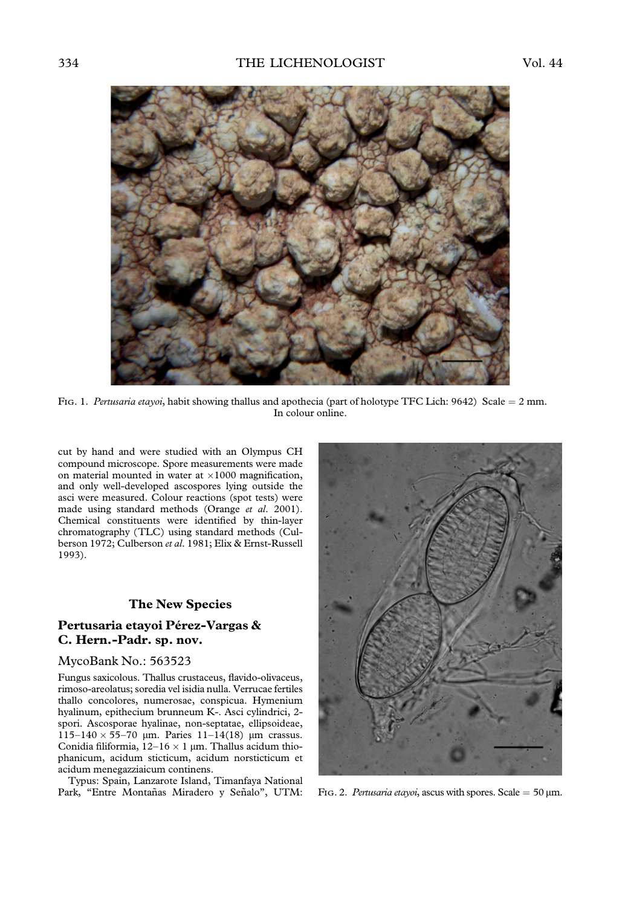

Fig. 1. Pertusaria etayoi, habit showing thallus and apothecia (part of holotype TFC Lich: 9642) Scale =  $2$  mm. In colour online.

cut by hand and were studied with an Olympus CH compound microscope. Spore measurements were made on material mounted in water at  $\times 1000$  magnification, and only well-developed ascospores lying outside the asci were measured. Colour reactions (spot tests) were made using standard methods (Orange et al. 2001). Chemical constituents were identified by thin-layer chromatography (TLC) using standard methods (Culberson 1972; Culberson et al. 1981; Elix & Ernst-Russell 1993).

### The New Species

## Pertusaria etayoi Pérez-Vargas & C. Hern.-Padr. sp. nov.

#### MycoBank No.: 563523

Fungus saxicolous. Thallus crustaceus, flavido-olivaceus, rimoso-areolatus; soredia vel isidia nulla. Verrucae fertiles thallo concolores, numerosae, conspicua. Hymenium hyalinum, epithecium brunneum K-. Asci cylindrici, 2 spori. Ascosporae hyalinae, non-septatae, ellipsoideae, 115–140  $\times$  55–70 µm. Paries 11–14(18) µm crassus. Conidia filiformia,  $12-16 \times 1$  µm. Thallus acidum thiophanicum, acidum sticticum, acidum norsticticum et acidum menegazziaicum continens.

Typus: Spain, Lanzarote Island, Timanfaya National Park, "Entre Montañas Miradero y Señalo", UTM:



FIG. 2. Pertusaria etayoi, ascus with spores. Scale =  $50 \mu m$ .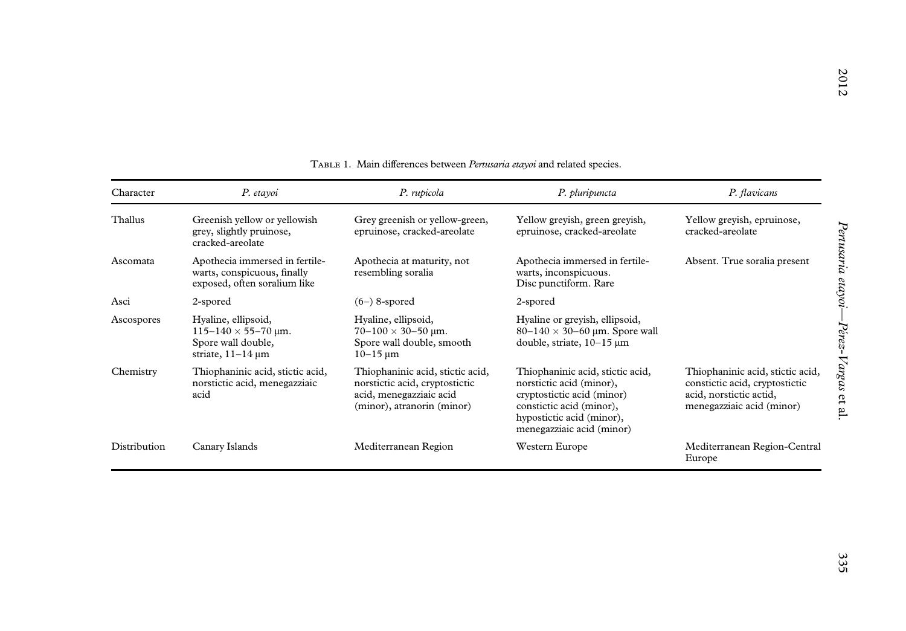| Character    | P. etayoi                                                                                         | P. rupicola                                                                                                                 | P. pluripuncta                                                                                                                                                                   | P. flavicans                                                                                                               |
|--------------|---------------------------------------------------------------------------------------------------|-----------------------------------------------------------------------------------------------------------------------------|----------------------------------------------------------------------------------------------------------------------------------------------------------------------------------|----------------------------------------------------------------------------------------------------------------------------|
| Thallus      | Greenish yellow or yellowish<br>grey, slightly pruinose,<br>cracked-areolate                      | Grey greenish or yellow-green,<br>epruinose, cracked-areolate                                                               | Yellow greyish, green greyish,<br>epruinose, cracked-areolate                                                                                                                    | Yellow greyish, epruinose,<br>cracked-areolate                                                                             |
| Ascomata     | Apothecia immersed in fertile-<br>warts, conspicuous, finally<br>exposed, often soralium like     | Apothecia at maturity, not<br>resembling soralia                                                                            | Apothecia immersed in fertile-<br>warts, inconspicuous.<br>Disc punctiform. Rare                                                                                                 | Absent. True soralia present                                                                                               |
| Asci         | 2-spored                                                                                          | $(6-)$ 8-spored                                                                                                             | 2-spored                                                                                                                                                                         |                                                                                                                            |
| Ascospores   | Hyaline, ellipsoid,<br>$115-140 \times 55-70$ µm.<br>Spore wall double,<br>striate, $11-14 \mu m$ | Hyaline, ellipsoid,<br>$70-100 \times 30-50$ µm.<br>Spore wall double, smooth<br>$10 - 15 \text{ µm}$                       | Hyaline or greyish, ellipsoid,<br>$80-140 \times 30-60$ µm. Spore wall<br>double, striate, 10-15 µm                                                                              |                                                                                                                            |
| Chemistry    | Thiophaninic acid, stictic acid,<br>norstictic acid, menegazziaic<br>acid                         | Thiophaninic acid, stictic acid,<br>norstictic acid, cryptostictic<br>acid, menegazziaic acid<br>(minor), atranorin (minor) | Thiophaninic acid, stictic acid,<br>norstictic acid (minor),<br>cryptostictic acid (minor)<br>constictic acid (minor),<br>hypostictic acid (minor),<br>menegazziaic acid (minor) | Thiophaninic acid, stictic acid,<br>constictic acid, cryptostictic<br>acid, norstictic actid,<br>menegazziaic acid (minor) |
| Distribution | Canary Islands                                                                                    | Mediterranean Region                                                                                                        | Western Europe                                                                                                                                                                   | Mediterranean Region-Central<br>Europe                                                                                     |

#### TABLE 1. Main differences between Pertusaria etayoi and related species.

2012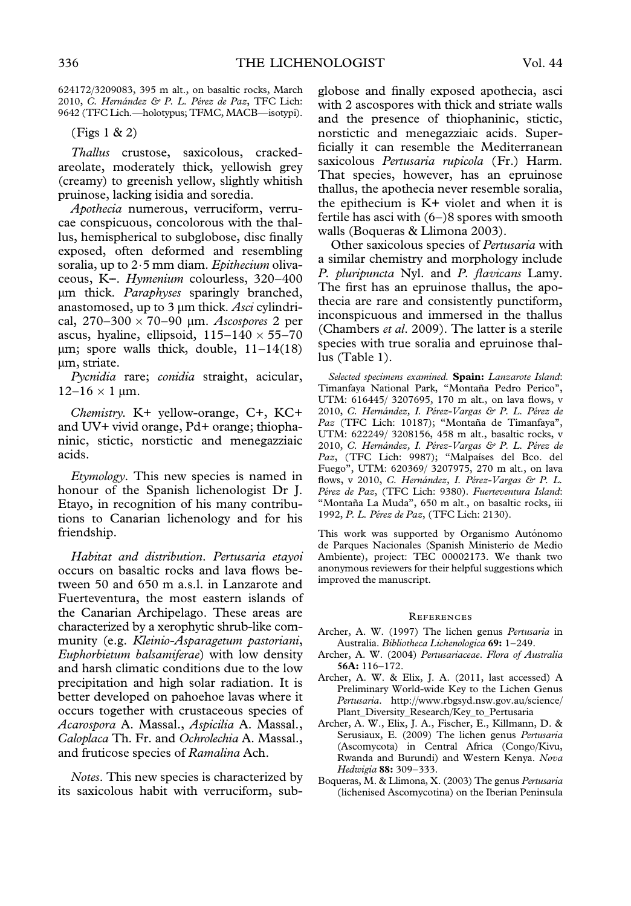624172/3209083, 395 m alt., on basaltic rocks, March 2010, C. Hernández & P. L. Pérez de Paz, TFC Lich: 9642 (TFC Lich.—holotypus; TFMC, MACB—isotypi).

(Figs 1 & 2)

Thallus crustose, saxicolous, crackedareolate, moderately thick, yellowish grey (creamy) to greenish yellow, slightly whitish pruinose, lacking isidia and soredia.

Apothecia numerous, verruciform, verrucae conspicuous, concolorous with the thallus, hemispherical to subglobose, disc finally exposed, often deformed and resembling soralia, up to  $2.5$  mm diam. Epithecium olivaceous, K--. Hymenium colourless, 320–400 mm thick. Paraphyses sparingly branched, anastomosed, up to  $3 \mu m$  thick. Asci cylindrical,  $270-300 \times 70-90$  µm. Ascospores 2 per ascus, hyaline, ellipsoid,  $115-140 \times 55-70$  $\mu$ m; spore walls thick, double,  $11-14(18)$ um, striate.

Pycnidia rare; conidia straight, acicular,  $12-16 \times 1 \,\mu m$ .

Chemistry. K+ yellow-orange, C+, KC+ and UV+ vivid orange, Pd+ orange; thiophaninic, stictic, norstictic and menegazziaic acids.

Etymology. This new species is named in honour of the Spanish lichenologist Dr J. Etayo, in recognition of his many contributions to Canarian lichenology and for his friendship.

Habitat and distribution. Pertusaria etayoi occurs on basaltic rocks and lava flows between 50 and 650 m a.s.l. in Lanzarote and Fuerteventura, the most eastern islands of the Canarian Archipelago. These areas are characterized by a xerophytic shrub-like community (e.g. Kleinio-Asparagetum pastoriani, Euphorbietum balsamiferae) with low density and harsh climatic conditions due to the low precipitation and high solar radiation. It is better developed on pahoehoe lavas where it occurs together with crustaceous species of Acarospora A. Massal., Aspicilia A. Massal., Caloplaca Th. Fr. and Ochrolechia A. Massal., and fruticose species of Ramalina Ach.

Notes. This new species is characterized by its saxicolous habit with verruciform, subglobose and finally exposed apothecia, asci with 2 ascospores with thick and striate walls and the presence of thiophaninic, stictic, norstictic and menegazziaic acids. Superficially it can resemble the Mediterranean saxicolous Pertusaria rupicola (Fr.) Harm. That species, however, has an epruinose thallus, the apothecia never resemble soralia, the epithecium is K+ violet and when it is fertile has asci with (6–)8 spores with smooth walls (Boqueras & Llimona 2003).

Other saxicolous species of Pertusaria with a similar chemistry and morphology include P. pluripuncta Nyl. and P. flavicans Lamy. The first has an epruinose thallus, the apothecia are rare and consistently punctiform, inconspicuous and immersed in the thallus (Chambers et al. 2009). The latter is a sterile species with true soralia and epruinose thallus (Table 1).

Selected specimens examined. Spain: Lanzarote Island: Timanfaya National Park, "Montaña Pedro Perico", UTM: 616445/ 3207695, 170 m alt., on lava flows, v 2010, C. Hernández, I. Pérez-Vargas & P. L. Pérez de Paz (TFC Lich: 10187); "Montaña de Timanfaya", UTM: 622249/ 3208156, 458 m alt., basaltic rocks, v 2010, C. Hernández, I. Pérez-Vargas & P. L. Pérez de Paz, (TFC Lich: 9987); "Malpaíses del Bco. del Fuego'', UTM: 620369/ 3207975, 270 m alt., on lava flows, v 2010, C. Hernández, I. Pérez-Vargas & P. L. Pérez de Paz, (TFC Lich: 9380). Fuerteventura Island: "Montaña La Muda", 650 m alt., on basaltic rocks, iii 1992, P. L. Pérez de Paz, (TFC Lich: 2130).

This work was supported by Organismo Autónomo de Parques Nacionales (Spanish Ministerio de Medio Ambiente), project: TEC 00002173. We thank two anonymous reviewers for their helpful suggestions which improved the manuscript.

#### **REFERENCES**

- Archer, A. W. (1997) The lichen genus Pertusaria in Australia. Bibliotheca Lichenologica 69: 1–249.
- Archer, A. W. (2004) Pertusariaceae. Flora of Australia 56A: 116–172.
- Archer, A. W. & Elix, J. A. (2011, last accessed) A Preliminary World-wide Key to the Lichen Genus Pertusaria. http://www.rbgsyd.nsw.gov.au/science/ Plant\_Diversity\_Research/Key\_to\_Pertusaria
- Archer, A. W., Elix, J. A., Fischer, E., Killmann, D. & Serusiaux, E. (2009) The lichen genus Pertusaria (Ascomycota) in Central Africa (Congo/Kivu, Rwanda and Burundi) and Western Kenya. Nova Hedwigia 88: 309–333.
- Boqueras, M. & Llimona, X. (2003) The genus Pertusaria (lichenised Ascomycotina) on the Iberian Peninsula